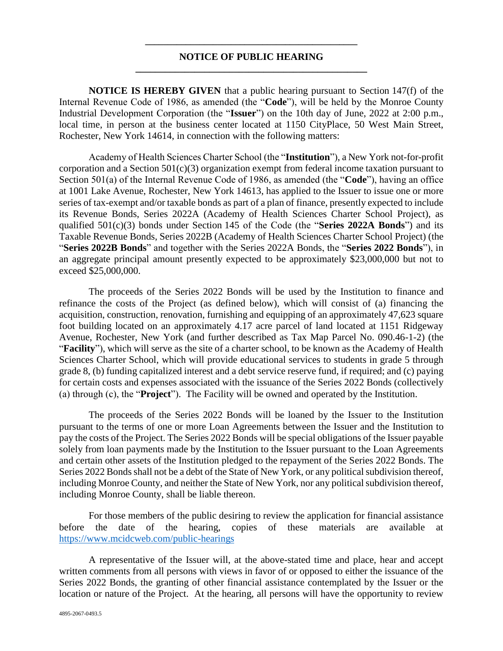## **\_\_\_\_\_\_\_\_\_\_\_\_\_\_\_\_\_\_\_\_\_\_\_\_\_\_\_\_\_\_\_\_\_\_\_\_\_\_\_\_\_\_\_\_\_\_\_ NOTICE OF PUBLIC HEARING \_\_\_\_\_\_\_\_\_\_\_\_\_\_\_\_\_\_\_\_\_\_\_\_\_\_\_\_\_\_\_\_\_\_\_\_\_\_\_\_\_\_\_\_\_\_\_**

**NOTICE IS HEREBY GIVEN** that a public hearing pursuant to Section 147(f) of the Internal Revenue Code of 1986, as amended (the "**Code**"), will be held by the Monroe County Industrial Development Corporation (the "**Issuer**") on the 10th day of June, 2022 at 2:00 p.m., local time, in person at the business center located at 1150 CityPlace, 50 West Main Street, Rochester, New York 14614, in connection with the following matters:

Academy of Health Sciences Charter School (the "**Institution**"), a New York not-for-profit corporation and a Section  $501(c)(3)$  organization exempt from federal income taxation pursuant to Section 501(a) of the Internal Revenue Code of 1986, as amended (the "**Code**"), having an office at 1001 Lake Avenue, Rochester, New York 14613, has applied to the Issuer to issue one or more series of tax-exempt and/or taxable bonds as part of a plan of finance, presently expected to include its Revenue Bonds, Series 2022A (Academy of Health Sciences Charter School Project), as qualified 501(c)(3) bonds under Section 145 of the Code (the "**Series 2022A Bonds**") and its Taxable Revenue Bonds, Series 2022B (Academy of Health Sciences Charter School Project) (the "**Series 2022B Bonds**" and together with the Series 2022A Bonds, the "**Series 2022 Bonds**"), in an aggregate principal amount presently expected to be approximately \$23,000,000 but not to exceed \$25,000,000.

The proceeds of the Series 2022 Bonds will be used by the Institution to finance and refinance the costs of the Project (as defined below), which will consist of (a) financing the acquisition, construction, renovation, furnishing and equipping of an approximately 47,623 square foot building located on an approximately 4.17 acre parcel of land located at 1151 Ridgeway Avenue, Rochester, New York (and further described as Tax Map Parcel No. 090.46-1-2) (the "**Facility**"), which will serve as the site of a charter school, to be known as the Academy of Health Sciences Charter School, which will provide educational services to students in grade 5 through grade 8, (b) funding capitalized interest and a debt service reserve fund, if required; and (c) paying for certain costs and expenses associated with the issuance of the Series 2022 Bonds (collectively (a) through (c), the "**Project**"). The Facility will be owned and operated by the Institution.

The proceeds of the Series 2022 Bonds will be loaned by the Issuer to the Institution pursuant to the terms of one or more Loan Agreements between the Issuer and the Institution to pay the costs of the Project. The Series 2022 Bonds will be special obligations of the Issuer payable solely from loan payments made by the Institution to the Issuer pursuant to the Loan Agreements and certain other assets of the Institution pledged to the repayment of the Series 2022 Bonds. The Series 2022 Bonds shall not be a debt of the State of New York, or any political subdivision thereof, including Monroe County, and neither the State of New York, nor any political subdivision thereof, including Monroe County, shall be liable thereon.

For those members of the public desiring to review the application for financial assistance before the date of the hearing, copies of these materials are available at <https://www.mcidcweb.com/public-hearings>

A representative of the Issuer will, at the above-stated time and place, hear and accept written comments from all persons with views in favor of or opposed to either the issuance of the Series 2022 Bonds, the granting of other financial assistance contemplated by the Issuer or the location or nature of the Project. At the hearing, all persons will have the opportunity to review